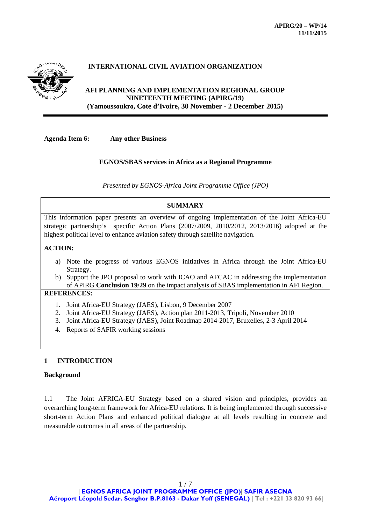

# **INTERNATIONAL CIVIL AVIATION ORGANIZATION**

## **AFI PLANNING AND IMPLEMENTATION REGIONAL GROUP NINETEENTH MEETING (APIRG/19) (Yamoussoukro, Cote d'Ivoire, 30 November - 2 December 2015)**

**Agenda Item 6: Any other Business**

### **EGNOS/SBAS services in Africa as a Regional Programme**

*Presented by EGNOS-Africa Joint Programme Office (JPO)*

## **SUMMARY**

This information paper presents an overview of ongoing implementation of the Joint Africa-EU strategic partnership's specific Action Plans (2007/2009, 2010/2012, 2013/2016) adopted at the highest political level to enhance aviation safety through satellite navigation.

## **ACTION:**

- a) Note the progress of various EGNOS initiatives in Africa through the Joint Africa-EU Strategy.
- b) Support the JPO proposal to work with ICAO and AFCAC in addressing the implementation of APIRG **Conclusion 19/29** on the impact analysis of SBAS implementation in AFI Region.

### **REFERENCES:**

- 1. Joint Africa-EU Strategy (JAES), Lisbon, 9 December 2007
- 2. Joint Africa-EU Strategy (JAES), Action plan 2011-2013, Tripoli, November 2010
- 3. Joint Africa-EU Strategy (JAES), Joint Roadmap 2014-2017, Bruxelles, 2-3 April 2014
- 4. Reports of SAFIR working sessions

## **1 INTRODUCTION**

#### **Background**

1.1 The Joint AFRICA-EU Strategy based on a shared vision and principles, provides an overarching long-term framework for Africa-EU relations. It is being implemented through successive short-term Action Plans and enhanced political dialogue at all levels resulting in concrete and measurable outcomes in all areas of the partnership.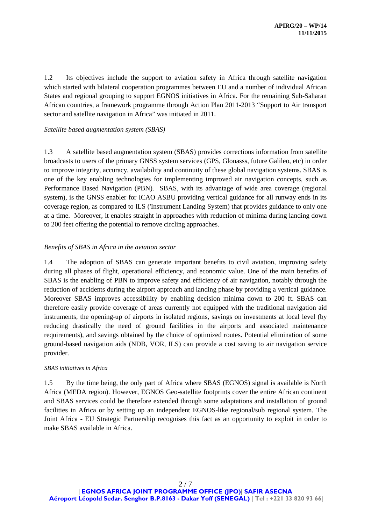1.2 Its objectives include the support to aviation safety in Africa through satellite navigation which started with bilateral cooperation programmes between EU and a number of individual African States and regional grouping to support EGNOS initiatives in Africa. For the remaining Sub-Saharan African countries, a framework programme through Action Plan 2011-2013 "Support to Air transport sector and satellite navigation in Africa" was initiated in 2011.

### *Satellite based augmentation system (SBAS)*

1.3 A satellite based augmentation system (SBAS) provides corrections information from satellite broadcasts to users of the primary GNSS system services (GPS, Glonasss, future Galileo, etc) in order to improve integrity, accuracy, availability and continuity of these global navigation systems. SBAS is one of the key enabling technologies for implementing improved air navigation concepts, such as Performance Based Navigation (PBN). SBAS, with its advantage of wide area coverage (regional system), is the GNSS enabler for ICAO ASBU providing vertical guidance for all runway ends in its coverage region, as compared to ILS ('Instrument Landing System) that provides guidance to only one at a time. Moreover, it enables straight in approaches with reduction of minima during landing down to 200 feet offering the potential to remove circling approaches.

### *Benefits of SBAS in Africa in the aviation sector*

1.4 The adoption of SBAS can generate important benefits to civil aviation, improving safety during all phases of flight, operational efficiency, and economic value. One of the main benefits of SBAS is the enabling of PBN to improve safety and efficiency of air navigation, notably through the reduction of accidents during the airport approach and landing phase by providing a vertical guidance. Moreover SBAS improves accessibility by enabling decision minima down to 200 ft. SBAS can therefore easily provide coverage of areas currently not equipped with the traditional navigation aid instruments, the opening-up of airports in isolated regions, savings on investments at local level (by reducing drastically the need of ground facilities in the airports and associated maintenance requirements), and savings obtained by the choice of optimized routes. Potential elimination of some ground-based navigation aids (NDB, VOR, ILS) can provide a cost saving to air navigation service provider.

#### *SBAS initiatives in Africa*

1.5 By the time being, the only part of Africa where SBAS (EGNOS) signal is available is North Africa (MEDA region). However, EGNOS Geo-satellite footprints cover the entire African continent and SBAS services could be therefore extended through some adaptations and installation of ground facilities in Africa or by setting up an independent EGNOS-like regional/sub regional system. The Joint Africa - EU Strategic Partnership recognises this fact as an opportunity to exploit in order to make SBAS available in Africa.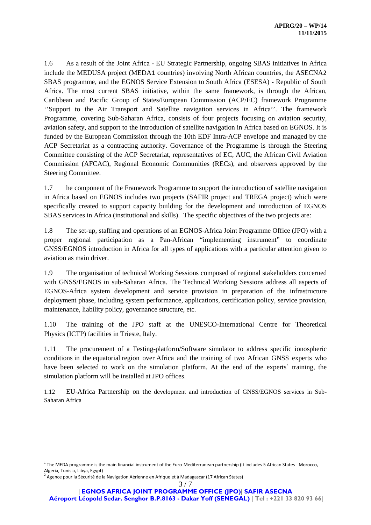1.6 As a result of the Joint Africa - EU Strategic Partnership, ongoing SBAS initiatives in Africa include the MEDUSA project (MEDA[1](#page-2-0) countries) involving North African countries, the ASECNA[2](#page-2-1) SBAS programme, and the EGNOS Service Extension to South Africa (ESESA) - Republic of South Africa. The most current SBAS initiative, within the same framework, is through the African, Caribbean and Pacific Group of States/European Commission (ACP/EC) framework Programme ''Support to the Air Transport and Satellite navigation services in Africa''. The framework Programme, covering Sub-Saharan Africa, consists of four projects focusing on aviation security, aviation safety, and support to the introduction of satellite navigation in Africa based on EGNOS. It is funded by the European Commission through the 10th EDF Intra-ACP envelope and managed by the ACP Secretariat as a contracting authority. Governance of the Programme is through the Steering Committee consisting of the ACP Secretariat, representatives of EC, AUC, the African Civil Aviation Commission (AFCAC), Regional Economic Communities (RECs), and observers approved by the Steering Committee.

1.7 he component of the Framework Programme to support the introduction of satellite navigation in Africa based on EGNOS includes two projects (SAFIR project and TREGA project) which were specifically created to support capacity building for the development and introduction of EGNOS SBAS services in Africa (institutional and skills). The specific objectives of the two projects are:

1.8 The set-up, staffing and operations of an EGNOS-Africa Joint Programme Office (JPO) with a proper regional participation as a Pan-African "implementing instrument" to coordinate GNSS/EGNOS introduction in Africa for all types of applications with a particular attention given to aviation as main driver.

1.9 The organisation of technical Working Sessions composed of regional stakeholders concerned with GNSS/EGNOS in sub-Saharan Africa. The Technical Working Sessions address all aspects of EGNOS-Africa system development and service provision in preparation of the infrastructure deployment phase, including system performance, applications, certification policy, service provision, maintenance, liability policy, governance structure, etc.

1.10 The training of the JPO staff at the UNESCO-International Centre for Theoretical Physics (ICTP) facilities in Trieste, Italy.

1.11 The procurement of a Testing-platform/Software simulator to address specific ionospheric conditions in the equatorial region over Africa and the training of two African GNSS experts who have been selected to work on the simulation platform. At the end of the experts` training, the simulation platform will be installed at JPO offices.

1.12 EU-Africa Partnership on the development and introduction of GNSS/EGNOS services in Sub-Saharan Africa

<span id="page-2-0"></span> $1$  The MEDA programme is the main financial instrument of the Euro-Mediterranean partnership (It includes 5 African States - Morocco, Algeria, Tunisia, Libya, Egypt)<br><sup>2</sup> Agence pour la Sécurité de la Navigation Aérienne en Afrique et à Madagascar (17 African States)

<span id="page-2-1"></span>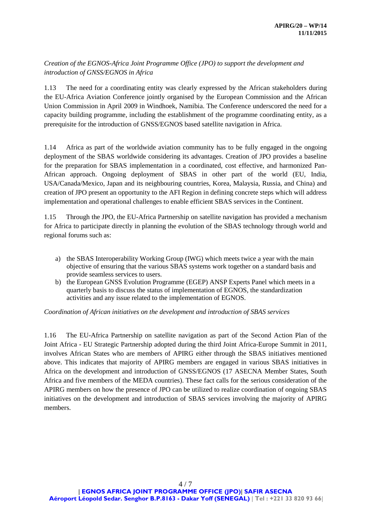# *Creation of the EGNOS-Africa Joint Programme Office (JPO) to support the development and introduction of GNSS/EGNOS in Africa*

1.13 The need for a coordinating entity was clearly expressed by the African stakeholders during the EU-Africa Aviation Conference jointly organised by the European Commission and the African Union Commission in April 2009 in Windhoek, Namibia. The Conference underscored the need for a capacity building programme, including the establishment of the programme coordinating entity, as a prerequisite for the introduction of GNSS/EGNOS based satellite navigation in Africa.

1.14 Africa as part of the worldwide aviation community has to be fully engaged in the ongoing deployment of the SBAS worldwide considering its advantages. Creation of JPO provides a baseline for the preparation for SBAS implementation in a coordinated, cost effective, and harmonized Pan-African approach. Ongoing deployment of SBAS in other part of the world (EU, India, USA/Canada/Mexico, Japan and its neighbouring countries, Korea, Malaysia, Russia, and China) and creation of JPO present an opportunity to the AFI Region in defining concrete steps which will address implementation and operational challenges to enable efficient SBAS services in the Continent.

1.15 Through the JPO, the EU-Africa Partnership on satellite navigation has provided a mechanism for Africa to participate directly in planning the evolution of the SBAS technology through world and regional forums such as:

- a) the SBAS Interoperability Working Group (IWG) which meets twice a year with the main objective of ensuring that the various SBAS systems work together on a standard basis and provide seamless services to users.
- b) the European GNSS Evolution Programme (EGEP) ANSP Experts Panel which meets in a quarterly basis to discuss the status of implementation of EGNOS, the standardization activities and any issue related to the implementation of EGNOS.

*Coordination of African initiatives on the development and introduction of SBAS services* 

1.16 The EU-Africa Partnership on satellite navigation as part of the Second Action Plan of the Joint Africa - EU Strategic Partnership adopted during the third Joint Africa-Europe Summit in 2011, involves African States who are members of APIRG either through the SBAS initiatives mentioned above. This indicates that majority of APIRG members are engaged in various SBAS initiatives in Africa on the development and introduction of GNSS/EGNOS (17 ASECNA Member States, South Africa and five members of the MEDA countries). These fact calls for the serious consideration of the APIRG members on how the presence of JPO can be utilized to realize coordination of ongoing SBAS initiatives on the development and introduction of SBAS services involving the majority of APIRG members.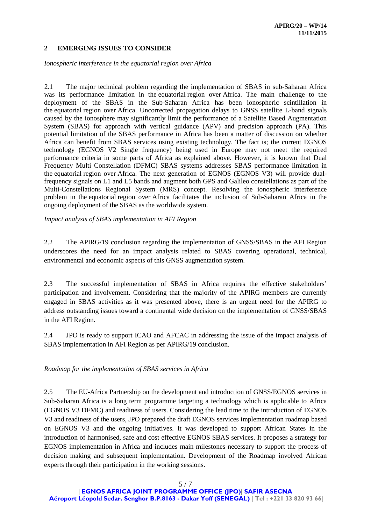## **2 EMERGING ISSUES TO CONSIDER**

*Ionospheric interference in the equatorial region over Africa* 

2.1 The major technical problem regarding the implementation of SBAS in sub-Saharan Africa was its performance limitation in the equatorial region over Africa. The main challenge to the deployment of the SBAS in the Sub-Saharan Africa has been ionospheric scintillation in the equatorial region over Africa. Uncorrected propagation delays to GNSS satellite L-band signals caused by the ionosphere may significantly limit the performance of a Satellite Based Augmentation System (SBAS) for approach with vertical guidance (APV) and precision approach (PA). This potential limitation of the SBAS performance in Africa has been a matter of discussion on whether Africa can benefit from SBAS services using existing technology. The fact is; the current EGNOS technology (EGNOS V2 Single frequency) being used in Europe may not meet the required performance criteria in some parts of Africa as explained above. However, it is known that Dual Frequency Multi Constellation (DFMC) SBAS systems addresses SBAS performance limitation in the equatorial region over Africa. The next generation of EGNOS (EGNOS V3) will provide dualfrequency signals on L1 and L5 bands and augment both GPS and Galileo constellations as part of the Multi-Constellations Regional System (MRS) concept. Resolving the ionospheric interference problem in the equatorial region over Africa facilitates the inclusion of Sub-Saharan Africa in the ongoing deployment of the SBAS as the worldwide system.

*Impact analysis of SBAS implementation in AFI Region*

2.2 The APIRG/19 conclusion regarding the implementation of GNSS/SBAS in the AFI Region underscores the need for an impact analysis related to SBAS covering operational, technical, environmental and economic aspects of this GNSS augmentation system.

2.3 The successful implementation of SBAS in Africa requires the effective stakeholders' participation and involvement. Considering that the majority of the APIRG members are currently engaged in SBAS activities as it was presented above, there is an urgent need for the APIRG to address outstanding issues toward a continental wide decision on the implementation of GNSS/SBAS in the AFI Region.

2.4 JPO is ready to support ICAO and AFCAC in addressing the issue of the impact analysis of SBAS implementation in AFI Region as per APIRG/19 conclusion.

*Roadmap for the implementation of SBAS services in Africa*

2.5 The EU-Africa Partnership on the development and introduction of GNSS/EGNOS services in Sub-Saharan Africa is a long term programme targeting a technology which is applicable to Africa (EGNOS V3 DFMC) and readiness of users. Considering the lead time to the introduction of EGNOS V3 and readiness of the users, JPO prepared the draft EGNOS services implementation roadmap based on EGNOS V3 and the ongoing initiatives. It was developed to support African States in the introduction of harmonised, safe and cost effective EGNOS SBAS services. It proposes a strategy for EGNOS implementation in Africa and includes main milestones necessary to support the process of decision making and subsequent implementation. Development of the Roadmap involved African experts through their participation in the working sessions.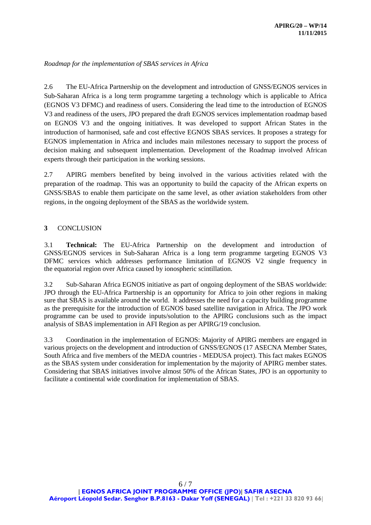*Roadmap for the implementation of SBAS services in Africa*

2.6 The EU-Africa Partnership on the development and introduction of GNSS/EGNOS services in Sub-Saharan Africa is a long term programme targeting a technology which is applicable to Africa (EGNOS V3 DFMC) and readiness of users. Considering the lead time to the introduction of EGNOS V3 and readiness of the users, JPO prepared the draft EGNOS services implementation roadmap based on EGNOS V3 and the ongoing initiatives. It was developed to support African States in the introduction of harmonised, safe and cost effective EGNOS SBAS services. It proposes a strategy for EGNOS implementation in Africa and includes main milestones necessary to support the process of decision making and subsequent implementation. Development of the Roadmap involved African experts through their participation in the working sessions.

2.7 APIRG members benefited by being involved in the various activities related with the preparation of the roadmap. This was an opportunity to build the capacity of the African experts on GNSS/SBAS to enable them participate on the same level, as other aviation stakeholders from other regions, in the ongoing deployment of the SBAS as the worldwide system.

## **3** CONCLUSION

3.1 **Technical:** The EU-Africa Partnership on the development and introduction of GNSS/EGNOS services in Sub-Saharan Africa is a long term programme targeting EGNOS V3 DFMC services which addresses performance limitation of EGNOS V2 single frequency in the equatorial region over Africa caused by ionospheric scintillation.

3.2 Sub-Saharan Africa EGNOS initiative as part of ongoing deployment of the SBAS worldwide: JPO through the EU-Africa Partnership is an opportunity for Africa to join other regions in making sure that SBAS is available around the world. It addresses the need for a capacity building programme as the prerequisite for the introduction of EGNOS based satellite navigation in Africa. The JPO work programme can be used to provide inputs/solution to the APIRG conclusions such as the impact analysis of SBAS implementation in AFI Region as per APIRG/19 conclusion.

3.3 Coordination in the implementation of EGNOS: Majority of APIRG members are engaged in various projects on the development and introduction of GNSS/EGNOS (17 ASECNA Member States, South Africa and five members of the MEDA countries - MEDUSA project). This fact makes EGNOS as the SBAS system under consideration for implementation by the majority of APIRG member states. Considering that SBAS initiatives involve almost 50% of the African States, JPO is an opportunity to facilitate a continental wide coordination for implementation of SBAS.